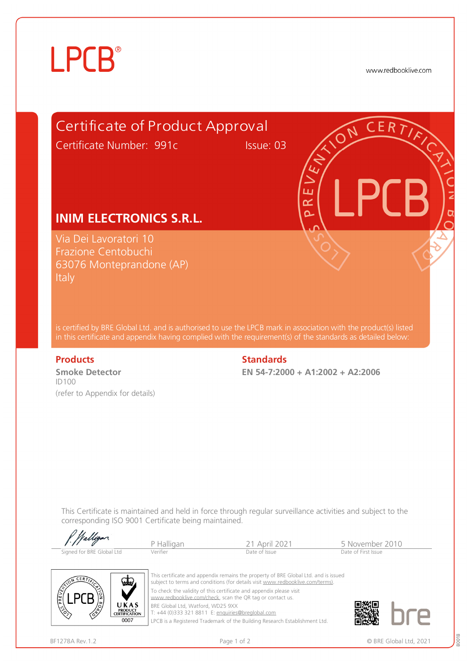# **LPCB**®

www.redbooklive.com



is certified by BRE Global Ltd. and is authorised to use the LPCB mark in association with the product(s) listed in this certificate and appendix having complied with the requirement(s) of the standards as detailed below:

**Smoke Detector**  ID100 (refer to Appendix for details)

### **Products** Standards **Standards**

**EN 54-7:2000 + A1:2002 + A2:2006** 

This Certificate is maintained and held in force through regular surveillance activities and subject to the corresponding ISO 9001 Certificate being maintained.

| f. Walligan               |            |               |                     |  |
|---------------------------|------------|---------------|---------------------|--|
|                           | P Halligan | 21 April 2021 | 5 November 2010     |  |
| Signed for BRE Global Ltd | Verifier   | Date of Issue | Date of First Issue |  |



This certificate and appendix remains the property of BRE Global Ltd. and is issued subject to terms and conditions (for details visit [www.redbooklive.com/terms\)](http://www.redbooklive.com/terms)). To check the validity of this certificate and appendix please visit [www.redbooklive.com/check,](http://www.redbooklive.com/check) scan the QR tag or contact us. BRE Global Ltd, Watford, WD25 9XX

T: +44 (0)333 321 8811 E: [enquiries@breglobal.com](mailto:enquiries@breglobal.com)

LPCB is a Registered Trademark of the Building Research Establishment Ltd.